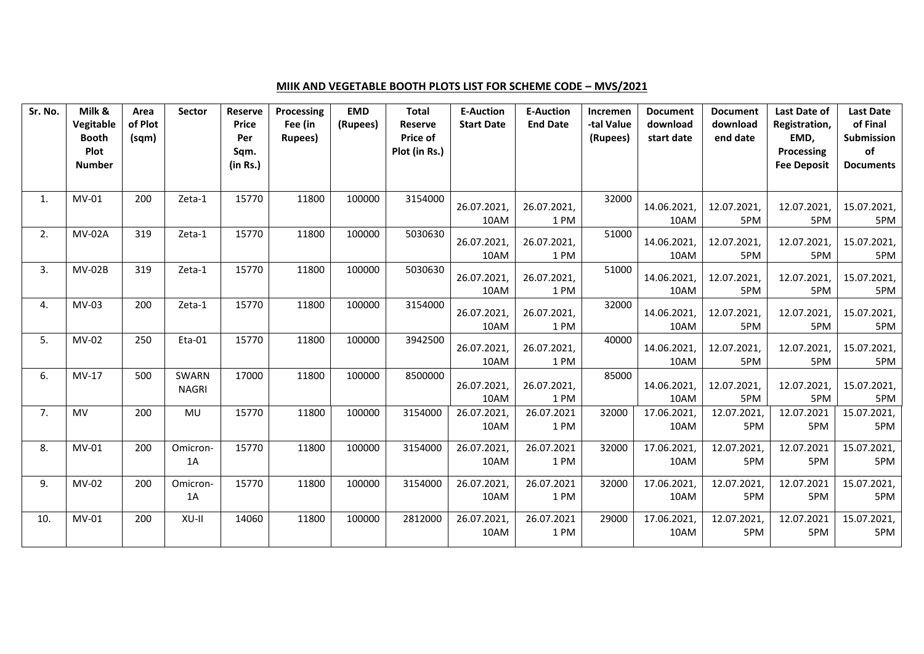## **MIIK AND VEGETABLE BOOTH PLOTS LIST FOR SCHEME CODE – MVS/2021**

| Sr. No. | Milk &<br><b>Vegitable</b> | Area<br>of Plot | <b>Sector</b> | <b>Reserve</b><br><b>Price</b> | <b>Processing</b><br>Fee (in | <b>EMD</b><br>(Rupees) | <b>Total</b><br><b>Reserve</b> | <b>E-Auction</b><br><b>Start Date</b> | <b>E-Auction</b><br><b>End Date</b> | Incremen<br>-tal Value | <b>Document</b><br>download | <b>Document</b><br>download | <b>Last Date of</b><br>Registration, | <b>Last Date</b><br>of Final |
|---------|----------------------------|-----------------|---------------|--------------------------------|------------------------------|------------------------|--------------------------------|---------------------------------------|-------------------------------------|------------------------|-----------------------------|-----------------------------|--------------------------------------|------------------------------|
|         | <b>Booth</b>               | (sqm)           |               | Per                            | Rupees)                      |                        | Price of                       |                                       |                                     | (Rupees)               | start date                  | end date                    | EMD,                                 | Submission                   |
|         | Plot<br><b>Number</b>      |                 |               | Sqm.<br>(in Rs.)               |                              |                        | Plot (in Rs.)                  |                                       |                                     |                        |                             |                             | Processing<br><b>Fee Deposit</b>     | of<br><b>Documents</b>       |
|         |                            |                 |               |                                |                              |                        |                                |                                       |                                     |                        |                             |                             |                                      |                              |
| 1.      | MV-01                      | 200             | Zeta-1        | 15770                          | 11800                        | 100000                 | 3154000                        |                                       |                                     | 32000                  |                             |                             |                                      |                              |
|         |                            |                 |               |                                |                              |                        |                                | 26.07.2021,<br>10AM                   | 26.07.2021,<br>1 PM                 |                        | 14.06.2021,<br>10AM         | 12.07.2021,<br>5PM          | 12.07.2021,<br>5PM                   | 15.07.2021,<br>5PM           |
| 2.      | <b>MV-02A</b>              | 319             | Zeta-1        | 15770                          | 11800                        | 100000                 | 5030630                        | 26.07.2021,                           | 26.07.2021,                         | 51000                  | 14.06.2021,                 | 12.07.2021,                 | 12.07.2021,                          | 15.07.2021,                  |
|         |                            |                 |               |                                |                              |                        |                                | 10AM                                  | 1 PM                                |                        | 10AM                        | 5PM                         | 5PM                                  | 5PM                          |
| 3.      | <b>MV-02B</b>              | 319             | Zeta-1        | 15770                          | 11800                        | 100000                 | 5030630                        | 26.07.2021,                           | 26.07.2021,                         | 51000                  | 14.06.2021,                 | 12.07.2021,                 | 12.07.2021,                          | 15.07.2021,                  |
|         |                            |                 |               |                                |                              |                        |                                | 10AM                                  | 1 PM                                |                        | 10AM                        | 5PM                         | 5PM                                  | 5PM                          |
| 4.      | MV-03                      | 200             | Zeta-1        | 15770                          | 11800                        | 100000                 | 3154000                        | 26.07.2021,                           | 26.07.2021,                         | 32000                  | 14.06.2021,                 | 12.07.2021,                 | 12.07.2021,                          | 15.07.2021,                  |
|         |                            |                 |               |                                |                              |                        |                                | 10AM                                  | 1 PM                                |                        | 10AM                        | 5PM                         | 5PM                                  | 5PM                          |
| 5.      | MV-02                      | 250             | Eta-01        | 15770                          | 11800                        | 100000                 | 3942500                        | 26.07.2021                            | 26.07.2021,                         | 40000                  | 14.06.2021,                 | 12.07.2021,                 | 12.07.2021,                          | 15.07.2021,                  |
|         |                            |                 |               |                                |                              |                        |                                | 10AM                                  | 1PM                                 |                        | 10AM                        | 5PM                         | 5PM                                  | 5PM                          |
| 6.      | MV-17                      | 500             | SWARN         | 17000                          | 11800                        | 100000                 | 8500000                        | 26.07.2021,                           | 26.07.2021,                         | 85000                  | 14.06.2021,                 | 12.07.2021,                 | 12.07.2021,                          | 15.07.2021,                  |
|         |                            |                 | <b>NAGRI</b>  |                                |                              |                        |                                | 10AM                                  | 1 PM                                |                        | 10AM                        | 5PM                         | 5PM                                  | 5PM                          |
| 7.      | MV                         | 200             | MU            | 15770                          | 11800                        | 100000                 | 3154000                        | 26.07.2021,                           | 26.07.2021                          | 32000                  | 17.06.2021,                 | 12.07.2021,                 | 12.07.2021                           | 15.07.2021,                  |
|         |                            |                 |               |                                |                              |                        |                                | 10AM                                  | 1 PM                                |                        | 10AM                        | 5PM                         | 5PM                                  | 5PM                          |
| 8.      | $MV-01$                    | 200             | Omicron-      | 15770                          | 11800                        | 100000                 | 3154000                        | 26.07.2021,                           | 26.07.2021                          | 32000                  | 17.06.2021,                 | 12.07.2021,                 | 12.07.2021                           | 15.07.2021,                  |
|         |                            |                 | 1A            |                                |                              |                        |                                | 10AM                                  | 1 PM                                |                        | 10AM                        | 5PM                         | 5PM                                  | 5PM                          |
| 9.      | MV-02                      | 200             | Omicron-      | 15770                          | 11800                        | 100000                 | 3154000                        | 26.07.2021,                           | 26.07.2021                          | 32000                  | 17.06.2021,                 | 12.07.2021,                 | 12.07.2021                           | 15.07.2021,                  |
|         |                            |                 | 1A            |                                |                              |                        |                                | 10AM                                  | 1 PM                                |                        | 10AM                        | 5PM                         | 5PM                                  | 5PM                          |
| 10.     | $MV-01$                    | 200             | XU-II         | 14060                          | 11800                        | 100000                 | 2812000                        | 26.07.2021,                           | 26.07.2021                          | 29000                  | 17.06.2021,                 | 12.07.2021,                 | 12.07.2021                           | 15.07.2021,                  |
|         |                            |                 |               |                                |                              |                        |                                | 10AM                                  | 1 PM                                |                        | 10AM                        | 5PM                         | 5PM                                  | 5PM                          |